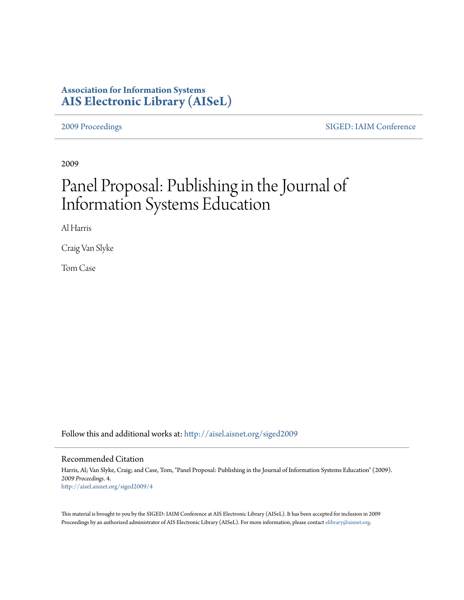## **Association for Information Systems [AIS Electronic Library \(AISeL\)](http://aisel.aisnet.org?utm_source=aisel.aisnet.org%2Fsiged2009%2F4&utm_medium=PDF&utm_campaign=PDFCoverPages)**

[2009 Proceedings](http://aisel.aisnet.org/siged2009?utm_source=aisel.aisnet.org%2Fsiged2009%2F4&utm_medium=PDF&utm_campaign=PDFCoverPages) [SIGED: IAIM Conference](http://aisel.aisnet.org/siged?utm_source=aisel.aisnet.org%2Fsiged2009%2F4&utm_medium=PDF&utm_campaign=PDFCoverPages)

2009

# Panel Proposal: Publishing in the Journal of Information Systems Education

Al Harris

Craig Van Slyke

Tom Case

Follow this and additional works at: [http://aisel.aisnet.org/siged2009](http://aisel.aisnet.org/siged2009?utm_source=aisel.aisnet.org%2Fsiged2009%2F4&utm_medium=PDF&utm_campaign=PDFCoverPages)

#### Recommended Citation

Harris, Al; Van Slyke, Craig; and Case, Tom, "Panel Proposal: Publishing in the Journal of Information Systems Education" (2009). *2009 Proceedings*. 4. [http://aisel.aisnet.org/siged2009/4](http://aisel.aisnet.org/siged2009/4?utm_source=aisel.aisnet.org%2Fsiged2009%2F4&utm_medium=PDF&utm_campaign=PDFCoverPages)

This material is brought to you by the SIGED: IAIM Conference at AIS Electronic Library (AISeL). It has been accepted for inclusion in 2009 Proceedings by an authorized administrator of AIS Electronic Library (AISeL). For more information, please contact [elibrary@aisnet.org](mailto:elibrary@aisnet.org%3E).